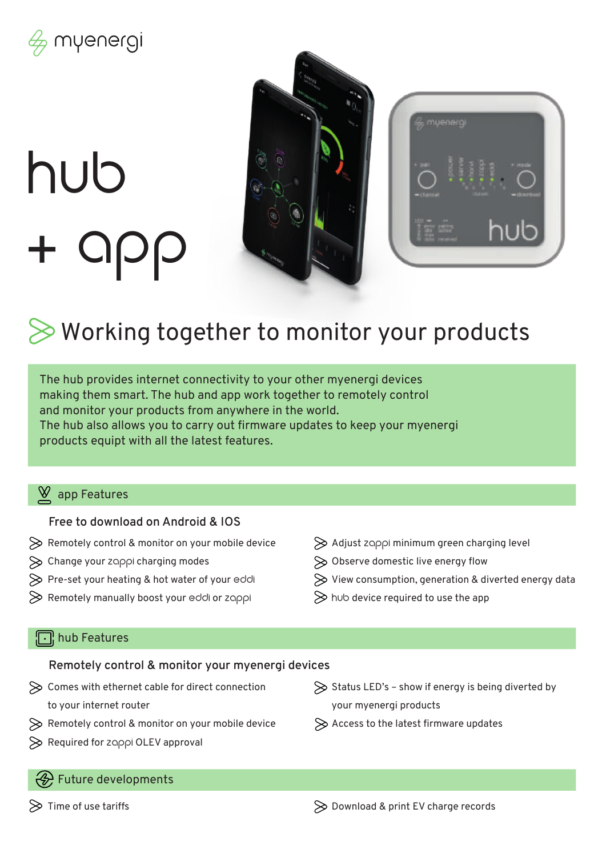

# hub + app



# Working together to monitor your products

The hub provides internet connectivity to your other myenergi devices making them smart. The hub and app work together to remotely control and monitor your products from anywhere in the world. The hub also allows you to carry out firmware updates to keep your myenergi products equipt with all the latest features.

## $\underline{\mathsf{W}}$  app Features

#### **Free to download on Android & IOS**

- $\gg$  Remotely control & monitor on your mobile device
- $\gg$  Change your zappi charging modes
- $\gg$  Pre-set your heating & hot water of your eddi
- $\gg$  Remotely manually boost your eddi or zappi
- $\gg$  Adjust zoppi minimum green charging level
- $\gg$  Observe domestic live energy flow
- $\gg$  View consumption, generation & diverted energy data
- $\gg$  hub device required to use the app

# **n**hub Features

#### **Remotely control & monitor your myenergi devices**

- $\gg$  Comes with ethernet cable for direct connection to your internet router
- $\gg$  Remotely control & monitor on your mobile device
- $\gg$  Required for zoppi OLEV approval

## $\gg$  Status LED's – show if energy is being diverted by your myenergi products

 $\gg$  Access to the latest firmware updates

#### **EXT** Future developments

 $\gg$  Time of use tariffs

 $\gg$  Download & print EV charge records